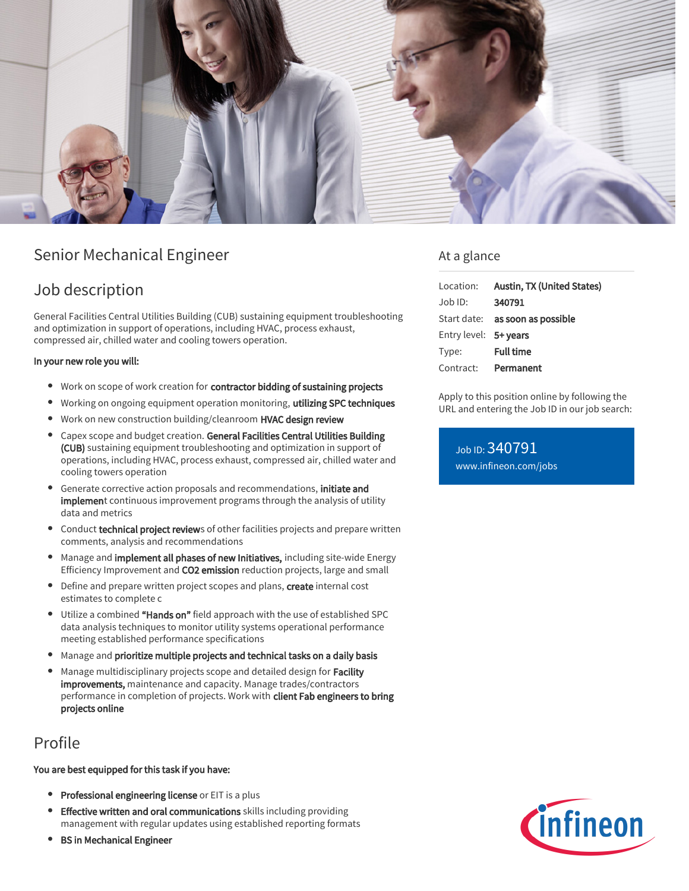

# Senior Mechanical Engineer

## Job description

General Facilities Central Utilities Building (CUB) sustaining equipment troubleshooting and optimization in support of operations, including HVAC, process exhaust, compressed air, chilled water and cooling towers operation.

### In your new role you will:

- Work on scope of work creation for contractor bidding of sustaining projects
- Working on ongoing equipment operation monitoring, utilizing SPC techniques
- Work on new construction building/cleanroom HVAC design review
- Capex scope and budget creation. General Facilities Central Utilities Building (CUB) sustaining equipment troubleshooting and optimization in support of operations, including HVAC, process exhaust, compressed air, chilled water and cooling towers operation
- $\bullet$ Generate corrective action proposals and recommendations, initiate and implement continuous improvement programs through the analysis of utility data and metrics
- Conduct technical project reviews of other facilities projects and prepare written comments, analysis and recommendations
- Manage and implement all phases of new Initiatives, including site-wide Energy Efficiency Improvement and CO2 emission reduction projects, large and small
- Define and prepare written project scopes and plans, create internal cost estimates to complete c
- Utilize a combined "Hands on" field approach with the use of established SPC data analysis techniques to monitor utility systems operational performance meeting established performance specifications
- Manage and prioritize multiple projects and technical tasks on a daily basis
- Manage multidisciplinary projects scope and detailed design for Facility improvements, maintenance and capacity. Manage trades/contractors performance in completion of projects. Work with client Fab engineers to bring projects online

## Profile

#### You are best equipped for this task if you have:

- **Professional engineering license** or EIT is a plus
- Effective written and oral communications skills including providing management with regular updates using established reporting formats
- **BS in Mechanical Engineer**

## At a glance

| Location:             | Austin, TX (United States)             |
|-----------------------|----------------------------------------|
| Job ID:               | 340791                                 |
|                       | Start date: <b>as soon as possible</b> |
| Entry level: 5+ years |                                        |
| Type:                 | <b>Full time</b>                       |
| Contract: Permanent   |                                        |

Apply to this position online by following the URL and entering the Job ID in our job search:

Job ID: 340791 [www.infineon.com/jobs](https://www.infineon.com/jobs)